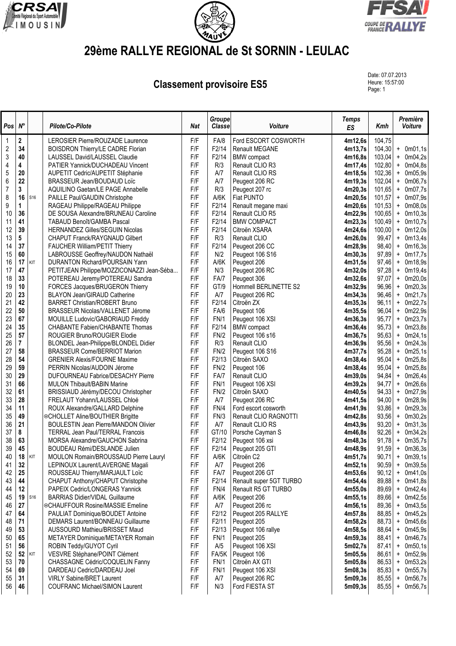





## **29ème RALLYE REGIONAL de St SORNIN - LEULAC**

**Classement provisoire ES5** 

Date: 07.07.2013 Heure: 15:57:00<br>Page: 1

| Pos            | $N^{\circ}$ |            | Pilote/Co-Pilote                                                   | <b>Nat</b> | Groupe<br><b>Classe</b> | Voiture                                   | <b>Temps</b><br>ES | Kmh            |                        | Première<br><b>Voiture</b> |
|----------------|-------------|------------|--------------------------------------------------------------------|------------|-------------------------|-------------------------------------------|--------------------|----------------|------------------------|----------------------------|
| 1              | 2           |            | LEROSIER Pierre/ROUZADE Laurence                                   | F/F        | FA/8                    | Ford ESCORT COSWORTH                      | 4m12,6s            | 104,75         |                        |                            |
| $\overline{2}$ | 34          |            | <b>BOISDRON Thierry/LE CADRE Florian</b>                           | F/F        | F2/14                   | <b>Renault MEGANE</b>                     | 4m13,7s            | 104,30         |                        | $+$ 0m01,1s                |
| 3              | 40          |            | LAUSSEL David/LAUSSEL Claudie                                      | F/F        | F2/14                   | <b>BMW</b> compact                        | 4m16,8s            | 103,04         |                        | $+$ 0m04,2s                |
| 4              | 4           |            | PATIER Yannick/DUCHADEAU Vincent                                   | F/F        | R/3                     | Renault CLIO R3                           | 4m17,4s            | 102,80         |                        | $+$ 0m04,8s                |
| 5              | 20          |            | AUPETIT Cedric/AUPETIT Stéphanie                                   | F/F        | A/7                     | Renault CLIO RS                           | 4m18,5s            | 102,36         | $\ddot{}$              | 0m05,9s                    |
| 6              | 22          |            | BRASSEUR Jean/BOUDAUD Loïc                                         | F/F        | A/7                     | Peugeot 206 RC                            | 4m19,3s            | 102,04         | $\ddot{}$              | 0m06,7s                    |
| 7              | 3           |            | AQUILINO Gaetan/LE PAGE Annabelle                                  | F/F        | R/3                     | Peugeot 207 rc                            | 4m20,3s            | 101,65         | $+$                    | 0m07,7s                    |
| 8              | 16          | S16        | PAILLE Paul/GAUDIN Christophe                                      | F/F        | A/6K                    | Fiat PUNTO                                | 4m20,5s            | 101,57         |                        | + 0m07,9s                  |
| 9              | 1           |            | RAGEAU Philippe/RAGEAU Philippe                                    | F/F        | F2/14                   | Renault megane maxi                       | 4m20,6s            | 101,53         | $\ddot{}$              | 0m08,0s                    |
| 10             | 36          |            | DE SOUSA Alexandre/BRUNEAU Caroline                                | F/F        | F2/14                   | Renault CLIO R5                           | 4m22,9s            | 100,65         | $\ddot{}$              | 0m10,3s                    |
| 11             | 41          |            | TABAUD Benoît/GAMBA Pascal                                         | F/F        | F2/14                   | <b>BMW COMPACT</b>                        | 4m23,3s            | 100,49         | $\ddot{}$              | 0m10,7s                    |
| 12             | 39          |            | <b>HERNANDEZ Gilles/SEGUIN Nicolas</b>                             | F/F        | F2/14                   | Citroën XSARA                             | 4m24,6s            | 100,00         | $\ddot{}$              | 0m12,0s                    |
| 13             | 5           |            | <b>CHAPUT Franck/RAYGNAUD Gilbert</b>                              | F/F        | R/3                     | Renault CLIO                              | 4m26,0s            | 99,47          | $\ddot{}$              | 0m13,4s                    |
| 14             | 37          |            | <b>FAUCHER William/PETIT Thierry</b>                               | F/F        | F2/14                   | Peugeot 206 CC                            | 4m28,9s            | 98,40          | $\ddot{}$              | 0m16,3s                    |
| 15             | 60          |            | LABROUSSE Geoffrey/NAUDON Nathaël                                  | F/F        | N/2                     | Peugeot 106 S16                           | 4m30,3s            | 97,89          | $\ddot{}$              | 0m17,7s                    |
| 16             | 17<br>47    | KIT        | DURANTON Richard/POURSAIN Yann                                     | F/F        | A/6K                    | Peugeot 206                               | 4m31,5s            | 97,46          | $\ddot{}$              | 0m18,9s                    |
| 17<br>18       | 33          |            | PETITJEAN Philippe/MOZZICONAZZI Jean-Séba                          | F/F<br>F/F | N/3                     | Peugeot 206 RC                            | 4m32,0s            | 97,28          | $\ddot{}$              | 0m19,4s                    |
| 19             | 10          |            | POTEREAU Jeremy/POTEREAU Sandra                                    | F/F        | FA/7<br>GT/9            | Peugeot 306<br>Hommell BERLINETTE S2      | 4m32,6s<br>4m32,9s | 97,07<br>96,96 | $\ddot{}$<br>$\pmb{+}$ | 0m20,0s<br>0m20,3s         |
| 20             | 23          |            | FORCES Jacques/BRUGERON Thierry<br>BLAYON Jean/GIRAUD Catherine    | F/F        | A/7                     | Peugeot 206 RC                            | 4m34,3s            | 96,46          | $\ddot{}$              | 0m21,7s                    |
| 21             | 42          |            | <b>BARRET Christian/ROBERT Bruno</b>                               | F/F        | F2/14                   | Citroën ZX                                | 4m35,3s            | 96,11          | $+$                    | 0m22,7s                    |
| 22             | 50          |            | BRASSEUR Nicolas/VALLENET Jérome                                   | F/F        | FA/6                    | Peugeot 106                               | 4m35,5s            | 96,04          | $\ddot{}$              | 0m22,9s                    |
| 23             | 67          |            | MOUILLE Ludovic/GABORIAUD Freddy                                   | F/F        | <b>FN/1</b>             | Peugeot 106 XSI                           | 4m36,3s            | 95,77          | $\ddot{}$              | 0m23,7s                    |
| 24             | 35          |            | CHABANTE Fabien/CHABANTE Thomas                                    | F/F        | F2/14                   | <b>BMW</b> compact                        | 4m36,4s            | 95,73          | $\ddot{}$              | 0m23,8s                    |
| 25             | 57          |            | ROUGIER Bruno/ROUGIER Elodie                                       | F/F        | FN/2                    | Peugeot 106 s16                           | 4m36,7s            | 95,63          | $+$                    | 0m24,1s                    |
| 26             | 7           |            | BLONDEL Jean-Philippe/BLONDEL Didier                               | F/F        | R/3                     | Renault CLIO                              | 4m36,9s            | 95,56          | $\ddot{}$              | 0m24,3s                    |
| 27             | 58          |            | <b>BRASSEUR Come/BERRIOT Marion</b>                                | F/F        | FN/2                    | Peugeot 106 S16                           | 4m37,7s            | 95,28          | $\ddot{}$              | 0m25,1s                    |
| 28             | 54          |            | <b>GRENIER Alexis/FOURNE Maxime</b>                                | F/F        | F2/13                   | Citroën SAXO                              | 4m38,4s            | 95,04          | $\ddot{}$              | 0m25,8s                    |
| 29             | 59          |            | PERRIN Nicolas/AUDOIN Jérome                                       | F/F        | FN/2                    | Peugeot 106                               | 4m38,4s            | 95,04          | $\ddot{}$              | 0m25,8s                    |
| 30             | 29          |            | DUFOURNEAU Fabrice/DESACHY Pierre                                  | F/F        | FA/7                    | Renault CLIO                              | 4m39,0s            | 94,84          | $\ddot{}$              | 0m26,4s                    |
| 31             | 66          |            | MULON Thibault/BABIN Marine                                        | F/F        | FN/1                    | Peugeot 106 XSI                           | 4m39,2s            | 94,77          | $\ddot{}$              | 0m26,6s                    |
| 32             | 61          |            | BRISSIAUD Jérémy/DECOU Christopher                                 | F/F        | FN/2                    | Citroën SAXO                              | 4m40,5s            | 94,33          | $\ddot{}$              | 0m27,9s                    |
| 33             | 28          |            | FRELAUT Yohann/LAUSSEL Chloé                                       | F/F        | A/7                     | Peugeot 206 RC                            | 4m41,5s            | 94,00          | $\ddot{}$              | 0m28,9s                    |
| 34             | 11          |            | ROUX Alexandre/GALLARD Delphine                                    | F/F        | FN/4                    | Ford escort cosworth                      | 4m41,9s            | 93,86          | $+$                    | 0m29,3s                    |
| 35             | 49          |            | ©CHOLLET Aline/BOUTHIER Brigitte                                   | F/F        | FN/3                    | Renault CLIO RAGNOTTI                     | 4m42,8s            | 93,56          | $\ddot{}$              | 0m30,2s                    |
| 36             | 21          |            | <b>BOULESTIN Jean Pierre/MANDON Olivier</b>                        | F/F        | A/7                     | Renault CLIO RS                           | 4m43,9s            | 93,20          | $\ddot{}$              | 0m31,3s                    |
| 37             | 8           |            | <b>TERRAL Jean Paul/TERRAL Francois</b>                            | F/F        | GT/10                   | Porsche Cayman S                          | 4m46,8s            | 92,26          | $+$                    | 0m34,2s                    |
| 38             | 63          |            | MORSA Alexandre/GAUCHON Sabrina                                    | F/F        | F2/12                   | Peugeot 106 xsi                           | 4m48,3s            | 91,78          |                        | $+$ 0m35,7s                |
| 39             | 45          |            | BOUDEAU Rémi/DESLANDE Julien                                       | F/F        | F2/14                   | Peugeot 205 GTI                           | 4m48,9s            | 91,59          |                        | $+$ 0m36,3s                |
| 40             | 18          | <b>KIT</b> | MOULON Romain/BROUSSAUD Pierre Lauryl                              | F/F        | A/6K                    | Citroën C2                                | 4m51,7s            | 90,71          |                        | $+$ 0m39,1s                |
| 41             | 32          |            | LEPINOUX Laurent/LAVERGNE Magali<br>ROUSSEAU Thierry/MARJAULT Loïc | F/F        | A/7                     | Peugeot 206                               | 4m52,1s            | 90,59<br>90,12 |                        | + 0m39,5s                  |
| 42<br>43       | 25<br>44    |            | CHAPUT Anthony/CHAPUT Christophe                                   | F/F<br>F/F | FA/7<br>F2/14           | Peugeot 206 GT<br>Renault super 5GT TURBO | 4m53,6s            | 89,88          | $\ddot{}$<br>$\ddot{}$ | 0m41,0s<br>0m41,8s         |
| 44             | 12          |            | PAPEIX Cedric/LONGERAS Yannick                                     | F/F        | FN/4                    | Renault R5 GT TURBO                       | 4m54,4s<br>4m55,0s | 89,69          | $\ddot{}$              | 0m42,4s                    |
| 45             | 19          | S16        | <b>BARRIAS Didier/VIDAL Guillaume</b>                              | F/F        | A/6K                    | Peugeot 206                               | 4m55,1s            | 89,66          | $\ddot{}$              | 0m42,5s                    |
| 46             | 27          |            | ©CHAUFFOUR Rosine/MASSIE Emeline                                   | F/F        | A/7                     | Peugeot 206 rc                            | 4m56,1s            | 89,36          | $\ddot{}$              | 0m43,5s                    |
| 47             | 64          |            | PAULIAT Dominique/BOUDET Antoine                                   | F/F        | F2/12                   | Peugeot 205 RALLYE                        | 4m57,8s            | 88,85          | $\ddot{}$              | 0m45,2s                    |
| 48             | 71          |            | DEMARS Laurent/BONNEAU Guillaume                                   | F/F        | F2/11                   | Peugeot 205                               | 4m58,2s            | 88,73          | $\ddot{}$              | 0m45,6s                    |
| 49             | 53          |            | AUSSOURD Mathieu/BRISSET Maud                                      | F/F        | F2/13                   | Peugeot 106 rallye                        | 4m58,5s            | 88,64          | $\ddot{}$              | 0m45,9s                    |
| 50             | 65          |            | METAYER Dominique/METAYER Romain                                   | F/F        | <b>FN/1</b>             | Peugeot 205                               | 4m59.3s            | 88,41          |                        | $+$ 0m46,7s                |
| 51             | 56          |            | ROBIN Teddy/GUYOT Cyril                                            | F/F        | A/5                     | Peugeot 106 XSI                           | 5m02,7s            | 87,41          | $+$                    | 0m50,1s                    |
| 52             | 52          | KIT        | VESVRE Stéphane/POINT Clément                                      | F/F        | FA/5K                   | Peugeot 106                               | 5m05,5s            | 86,61          | $\ddot{}$              | 0m52,9s                    |
| 53             | 70          |            | CHASSAGNE Cédric/COQUELIN Fanny                                    | F/F        | FN/1                    | Citroën AX GTI                            | 5m05,8s            | 86,53          | $\ddot{}$              | 0m53,2s                    |
| 54             | 69          |            | DARDEAU Cedric/DARDEAU Joel                                        | F/F        | <b>FN/1</b>             | Peugeot 106 XSI                           | 5m08,3s            | 85,83          | $\ddot{}$              | 0m55,7s                    |
| 55             | 31          |            | <b>VIRLY Sabine/BRET Laurent</b>                                   | F/F        | A/7                     | Peugeot 206 RC                            | 5m09,3s            | 85,55          | $\pmb{+}$              | 0m56,7s                    |
| 56             | 46          |            | <b>COUFRANC Michael/SIMON Laurent</b>                              | F/F        | N/3                     | Ford FIESTA ST                            | 5m09,3s            | 85,55          | $\pmb{+}$              | 0m56,7s                    |